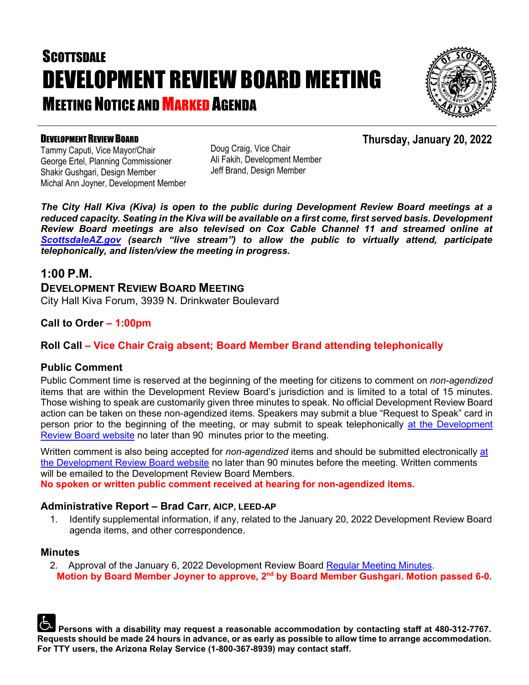# **SCOTTSDALE** DEVELOPMENT REVIEW BOARD MEETING **MEETING NOTICE AND MARKED AGENDA**



**Thursday, January 20, 2022**

### DEVELOPMENT REVIEW BOARD

Tammy Caputi, Vice Mayor/Chair George Ertel, Planning Commissioner Shakir Gushgari, Design Member Michal Ann Joyner, Development Member Doug Craig, Vice Chair Ali Fakih, Development Member Jeff Brand, Design Member

*The City Hall Kiva (Kiva) is open to the public during Development Review Board meetings at a reduced capacity. Seating in the Kiva will be available on a first come, first served basis. Development Review Board meetings are also televised on Cox Cable Channel 11 and streamed online at [ScottsdaleAZ.gov](http://www.scottsdaleaz.gov/) (search "live stream") to allow the public to virtually attend, participate telephonically, and listen/view the meeting in progress.*

### **1:00 P.M.**

**DEVELOPMENT REVIEW BOARD MEETING**  City Hall Kiva Forum, 3939 N. Drinkwater Boulevard

### **Call to Order – 1:00pm**

### **Roll Call – Vice Chair Craig absent; Board Member Brand attending telephonically**

### **Public Comment**

Public Comment time is reserved at the beginning of the meeting for citizens to comment on *non-agendized* items that are within the Development Review Board's jurisdiction and is limited to a total of 15 minutes. Those wishing to speak are customarily given three minutes to speak. No official Development Review Board action can be taken on these non-agendized items. Speakers may submit a blue "Request to Speak" card in person prior to the beginning of the meeting, or may submit to speak telephonically [at the Development](https://www.scottsdaleaz.gov/boards/development-review-board/spoken-comment)  [Review Board website](https://www.scottsdaleaz.gov/boards/development-review-board/spoken-comment) no later than 90 minutes prior to the meeting.

Written comment is also being accepted for *non-agendized* items and should be submitted electronically [at](https://www.scottsdaleaz.gov/boards/development-review-board/public-comment)  [the Development Review Board website](https://www.scottsdaleaz.gov/boards/development-review-board/public-comment) no later than 90 minutes before the meeting. Written comments will be emailed to the Development Review Board Members.

**No spoken or written public comment received at hearing for non-agendized items.**

### **Administrative Report – Brad Carr, AICP, LEED-AP**

1. Identify supplemental information, if any, related to the January 20, 2022 Development Review Board agenda items, and other correspondence.

#### **Minutes**

2. Approval of the January 6, 2022 Development Review Board [Regular Meeting Minutes.](https://eservices.scottsdaleaz.gov/planning/projectsummary/unrelated_documents/DRB_MEETING_MINUTES_01062022.pdf) **Motion by Board Member Joyner to approve, 2nd by Board Member Gushgari. Motion passed 6-0.**

**Persons with a disability may request a reasonable accommodation by contacting staff at 480-312-7767. Requests should be made 24 hours in advance, or as early as possible to allow time to arrange accommodation. For TTY users, the Arizona Relay Service (1-800-367-8939) may contact staff.**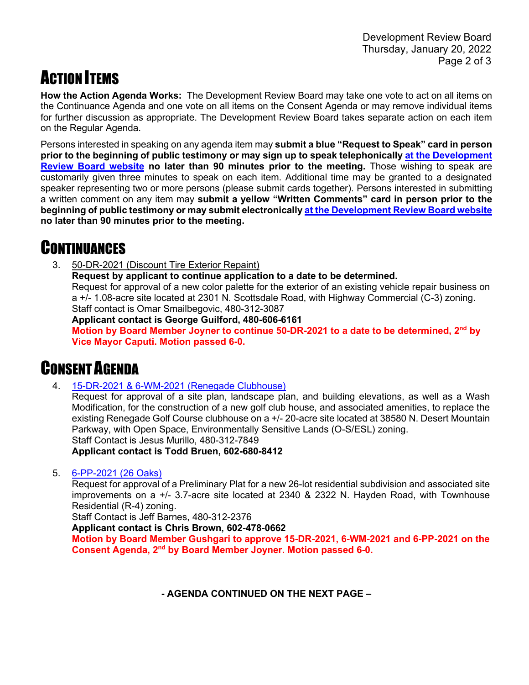## ACTION ITEMS

**How the Action Agenda Works:** The Development Review Board may take one vote to act on all items on the Continuance Agenda and one vote on all items on the Consent Agenda or may remove individual items for further discussion as appropriate. The Development Review Board takes separate action on each item on the Regular Agenda.

Persons interested in speaking on any agenda item may **submit a blue "Request to Speak" card in person prior to the beginning of public testimony or may sign up to speak telephonically [at the Development](https://www.scottsdaleaz.gov/boards/development-review-board/spoken-comment)  [Review Board website](https://www.scottsdaleaz.gov/boards/development-review-board/spoken-comment) no later than 90 minutes prior to the meeting.** Those wishing to speak are customarily given three minutes to speak on each item. Additional time may be granted to a designated speaker representing two or more persons (please submit cards together). Persons interested in submitting a written comment on any item may **submit a yellow "Written Comments" card in person prior to the beginning of public testimony or may submit electronicall[y at the Development Review Board website](https://www.scottsdaleaz.gov/boards/development-review-board/public-comment) no later than 90 minutes prior to the meeting.**

## **CONTINUANCES**

3. 50-DR-2021 (Discount Tire Exterior Repaint) **Request by applicant to continue application to a date to be determined.** Request for approval of a new color palette for the exterior of an existing vehicle repair business on a +/- 1.08-acre site located at 2301 N. Scottsdale Road, with Highway Commercial (C-3) zoning. Staff contact is Omar Smailbegovic, 480-312-3087 **Applicant contact is George Guilford, 480-606-6161 Motion by Board Member Joyner to continue 50-DR-2021 to a date to be determined, 2nd by Vice Mayor Caputi. Motion passed 6-0.**

## CONSENT AGENDA

4. [15-DR-2021 & 6-WM-2021 \(Renegade Clubhouse\)](https://eservices.scottsdaleaz.gov/planning/projectsummary/dr_reports/DR_15_DR_2021.pdf) 

Request for approval of a site plan, landscape plan, and building elevations, as well as a Wash Modification, for the construction of a new golf club house, and associated amenities, to replace the existing Renegade Golf Course clubhouse on a +/- 20-acre site located at 38580 N. Desert Mountain Parkway, with Open Space, Environmentally Sensitive Lands (O-S/ESL) zoning. Staff Contact is Jesus Murillo, 480-312-7849

**Applicant contact is Todd Bruen, 602-680-8412**

5. [6-PP-2021 \(26 Oaks\)](https://eservices.scottsdaleaz.gov/planning/projectsummary/dr_reports/DR_6_PP_2021.pdf)

Request for approval of a Preliminary Plat for a new 26-lot residential subdivision and associated site improvements on a +/- 3.7-acre site located at 2340 & 2322 N. Hayden Road, with Townhouse Residential (R-4) zoning.

Staff Contact is Jeff Barnes, 480-312-2376

**Applicant contact is Chris Brown, 602-478-0662**

**Motion by Board Member Gushgari to approve 15-DR-2021, 6-WM-2021 and 6-PP-2021 on the Consent Agenda, 2nd by Board Member Joyner. Motion passed 6-0.**

**- AGENDA CONTINUED ON THE NEXT PAGE –**